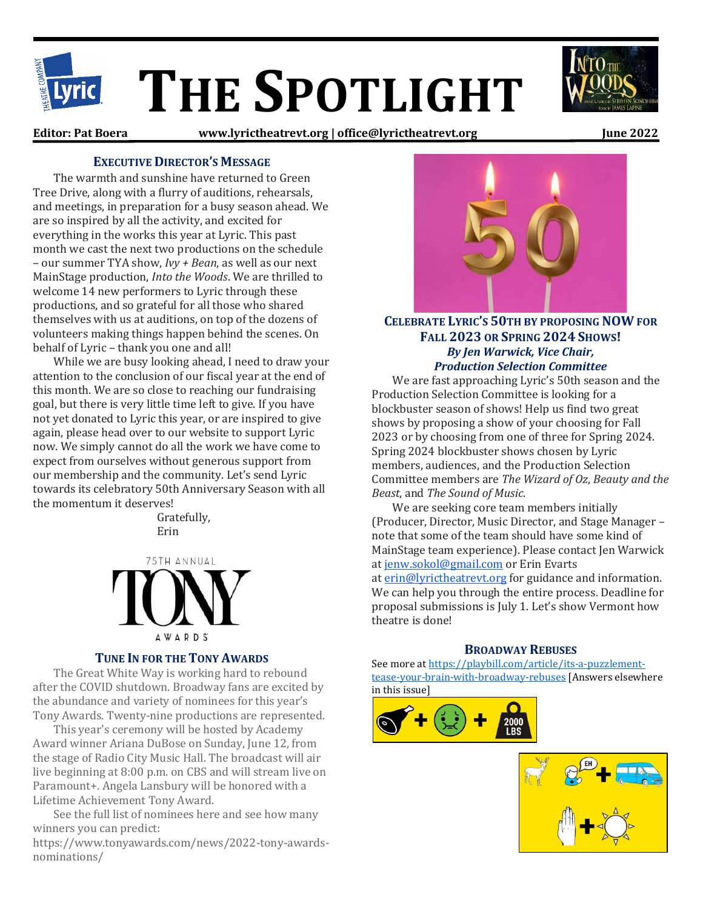

**Editor: Pat Boera www.lyrictheatrevt.org | office@lyrictheatrevt.org June 2022**

# **EXECUTIVE DIRECTOR'S MESSAGE**

The warmth and sunshine have returned to Green Tree Drive, along with a flurry of auditions, rehearsals, and meetings, in preparation for a busy season ahead. We are so inspired by all the activity, and excited for everything in the works this year at Lyric. This past month we cast the next two productions on the schedule – our summer TYA show, *Ivy + Bean*, as well as our next MainStage production, *Into the Woods*. We are thrilled to welcome 14 new performers to Lyric through these productions, and so grateful for all those who shared themselves with us at auditions, on top of the dozens of volunteers making things happen behind the scenes. On behalf of Lyric – thank you one and all!

While we are busy looking ahead, I need to draw your attention to the conclusion of our fiscal year at the end of this month. We are so close to reaching our fundraising goal, but there is very little time left to give. If you have not yet donated to Lyric this year, or are inspired to give again, please head over to our website to support Lyric now. We simply cannot do all the work we have come to expect from ourselves without generous support from our membership and the community. Let's send Lyric towards its celebratory 50th Anniversary Season with all the momentum it deserves!

> Gratefully, Erin

75TH ANNUAL **AWARDS** 

## **TUNE IN FOR THE TONY AWARDS**

The Great White Way is working hard to rebound after the COVID shutdown. Broadway fans are excited by the abundance and variety of nominees for this year's Tony Awards. Twenty-nine productions are represented.

This year's ceremony will be hosted by Academy Award winner Ariana DuBose on Sunday, June 12, from the stage of Radio City Music Hall. The broadcast will air live beginning at 8:00 p.m. on CBS and will stream live on Paramount+. Angela Lansbury will be honored with a Lifetime Achievement Tony Award.

See the full list of nominees here and see how many winners you can predict:

https://www.tonyawards.com/news/2022-tony-awardsnominations/



# **CELEBRATE LYRIC'S 50TH BY PROPOSING NOW FOR FALL 2023 OR SPRING 2024 SHOWS!** *By Jen Warwick, Vice Chair, Production Selection Committee*

We are fast approaching Lyric's 50th season and the Production Selection Committee is looking for a blockbuster season of shows! Help us find two great shows by proposing a show of your choosing for Fall 2023 or by choosing from one of three for Spring 2024. Spring 2024 blockbuster shows chosen by Lyric members, audiences, and the Production Selection Committee members are *The Wizard of Oz*, *Beauty and the Beast*, and *The Sound of Music*.

We are seeking core team members initially (Producer, Director, Music Director, and Stage Manager – note that some of the team should have some kind of MainStage team experience). Please contact Jen Warwick at [jenw.sokol@gmail.com](mailto:jenw.sokol@gmail.com) or Erin Evarts at [erin@lyrictheatrevt.org](mailto:erin@lyrictheatrevt.org) for guidance and information. We can help you through the entire process. Deadline for proposal submissions is July 1. Let's show Vermont how theatre is done!

## **BROADWAY REBUSES**

See more a[t https://playbill.com/article/its-a-puzzlement](https://playbill.com/article/its-a-puzzlement-tease-your-brain-with-broadway-rebuses)[tease-your-brain-with-broadway-rebuses](https://playbill.com/article/its-a-puzzlement-tease-your-brain-with-broadway-rebuses) [Answers elsewhere in this issue]



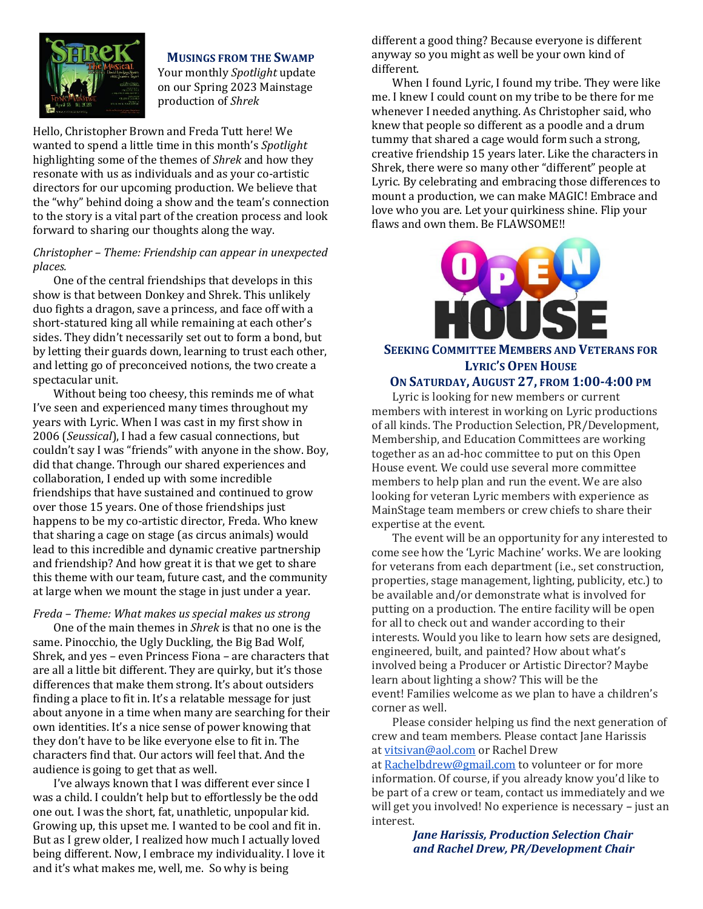

# **MUSINGS FROM THE SWAMP**

Your monthly *Spotlight* update on our Spring 2023 Mainstage production of *Shrek*

Hello, Christopher Brown and Freda Tutt here! We wanted to spend a little time in this month's *Spotlight* highlighting some of the themes of *Shrek* and how they resonate with us as individuals and as your co-artistic directors for our upcoming production. We believe that the "why" behind doing a show and the team's connection to the story is a vital part of the creation process and look forward to sharing our thoughts along the way.

### *Christopher – Theme: Friendship can appear in unexpected places.*

One of the central friendships that develops in this show is that between Donkey and Shrek. This unlikely duo fights a dragon, save a princess, and face off with a short-statured king all while remaining at each other's sides. They didn't necessarily set out to form a bond, but by letting their guards down, learning to trust each other, and letting go of preconceived notions, the two create a spectacular unit.

Without being too cheesy, this reminds me of what I've seen and experienced many times throughout my years with Lyric. When I was cast in my first show in 2006 (*Seussical*), I had a few casual connections, but couldn't say I was "friends" with anyone in the show. Boy, did that change. Through our shared experiences and collaboration, I ended up with some incredible friendships that have sustained and continued to grow over those 15 years. One of those friendships just happens to be my co-artistic director, Freda. Who knew that sharing a cage on stage (as circus animals) would lead to this incredible and dynamic creative partnership and friendship? And how great it is that we get to share this theme with our team, future cast, and the community at large when we mount the stage in just under a year.

*Freda – Theme: What makes us special makes us strong*

One of the main themes in *Shrek* is that no one is the same. Pinocchio, the Ugly Duckling, the Big Bad Wolf, Shrek, and yes *–* even Princess Fiona *–* are characters that are all a little bit different. They are quirky, but it's those differences that make them strong. It's about outsiders finding a place to fit in. It's a relatable message for just about anyone in a time when many are searching for their own identities. It's a nice sense of power knowing that they don't have to be like everyone else to fit in. The characters find that. Our actors will feel that. And the audience is going to get that as well.

I've always known that I was different ever since I was a child. I couldn't help but to effortlessly be the odd one out. I was the short, fat, unathletic, unpopular kid. Growing up, this upset me. I wanted to be cool and fit in. But as I grew older, I realized how much I actually loved being different. Now, I embrace my individuality. I love it and it's what makes me, well, me. So why is being

different a good thing? Because everyone is different anyway so you might as well be your own kind of different.

When I found Lyric, I found my tribe. They were like me. I knew I could count on my tribe to be there for me whenever I needed anything. As Christopher said, who knew that people so different as a poodle and a drum tummy that shared a cage would form such a strong, creative friendship 15 years later. Like the characters in Shrek, there were so many other "different" people at Lyric. By celebrating and embracing those differences to mount a production, we can make MAGIC! Embrace and love who you are. Let your quirkiness shine. Flip your flaws and own them. Be FLAWSOME!!



# **SEEKING COMMITTEE MEMBERS AND VETERANS FOR LYRIC'S OPEN HOUSE**

# **ON SATURDAY, AUGUST 27, FROM 1:00-4:00 PM**

Lyric is looking for new members or current members with interest in working on Lyric productions of all kinds. The Production Selection, PR/Development, Membership, and Education Committees are working together as an ad-hoc committee to put on this Open House event. We could use several more committee members to help plan and run the event. We are also looking for veteran Lyric members with experience as MainStage team members or crew chiefs to share their expertise at the event.

The event will be an opportunity for any interested to come see how the 'Lyric Machine' works. We are looking for veterans from each department (i.e., set construction, properties, stage management, lighting, publicity, etc.) to be available and/or demonstrate what is involved for putting on a production. The entire facility will be open for all to check out and wander according to their interests. Would you like to learn how sets are designed, engineered, built, and painted? How about what's involved being a Producer or Artistic Director? Maybe learn about lighting a show? This will be the event! Families welcome as we plan to have a children's corner as well.

Please consider helping us find the next generation of crew and team members. Please contact Jane Harissis at [vitsivan@aol.com](mailto:vitsivan@aol.com) or Rachel Drew

at [Rachelbdrew@gmail.com](mailto:Rachelbdrew@gmail.com) to volunteer or for more information. Of course, if you already know you'd like to be part of a crew or team, contact us immediately and we will get you involved! No experience is necessary *–* just an interest.

> *Jane Harissis, Production Selection Chair and Rachel Drew, PR/Development Chair*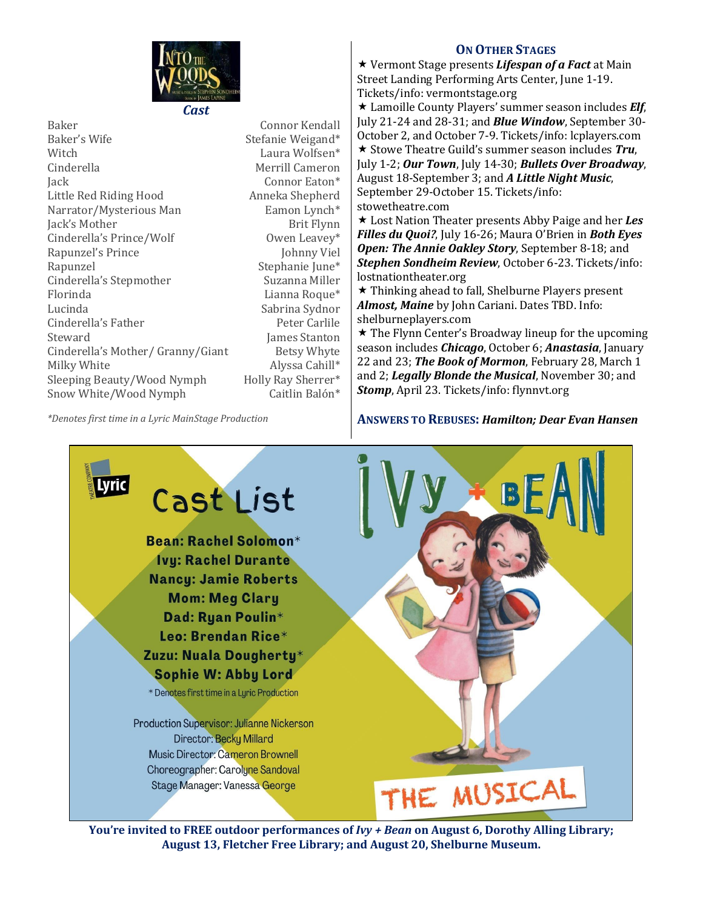

Baker Connor Kendall Baker's Wife Stefanie Weigand\* Witch Laura Wolfsen\* Cinderella Merrill Cameron Jack Connor Eaton\* Little Red Riding Hood Narrator/Mysterious Man Eamon Lynch\* Iack's Mother Brit Flynn Cinderella's Prince/Wolf **Owen Leavey\*** Rapunzel's Prince Johnny Viel Rapunzel Stephanie June\* Cinderella's Stepmother Suzanna Miller Florinda Lianna Roque\* Lucinda Sabrina Sydnor Cinderella's Father Peter Carlile Steward **James Stanton** Cinderella's Mother/ Granny/Giant Betsy Whyte Milky White Alyssa Cahill\* Sleeping Beauty/Wood Nymph Holly Ray Sherrer\* Snow White/Wood Nymph Caitlin Balón\*

# **ON OTHER STAGES**

 Vermont Stage presents *Lifespan of a Fact* at Main Street Landing Performing Arts Center, June 1-19. Tickets/info: vermontstage.org

 Lamoille County Players' summer season includes *Elf*, July 21-24 and 28-31; and *Blue Window*, September 30- October 2, and October 7-9. Tickets/info: lcplayers.com **★ Stowe Theatre Guild's summer season includes Tru,** July 1-2; *Our Town*, July 14-30; *Bullets Over Broadway*, August 18-September 3; and *A Little Night Music*, September 29-October 15. Tickets/info: stowetheatre.com

 Lost Nation Theater presents Abby Paige and her *Les Filles du Quoi?*, July 16-26; Maura O'Brien in *Both Eyes Open: The Annie Oakley Story*, September 8-18; and *Stephen Sondheim Review*, October 6-23. Tickets/info: lostnationtheater.org

 $\star$  Thinking ahead to fall, Shelburne Players present *Almost, Maine* by John Cariani. Dates TBD. Info: shelburneplayers.com

 $\star$  The Flynn Center's Broadway lineup for the upcoming season includes *Chicago*, October 6; *Anastasia*, January 22 and 23; *The Book of Mormon*, February 28, March 1 and 2; *Legally Blonde the Musical*, November 30; and *Stomp*, April 23. Tickets/info: flynnvt.org

# **ANSWERS TO REBUSES:** *Hamilton; Dear Evan Hansen*



**You're invited to FREE outdoor performances of** *Ivy + Bean* **on August 6, Dorothy Alling Library; August 13, Fletcher Free Library; and August 20, Shelburne Museum.**

*\*Denotes first time in a Lyric MainStage Production*